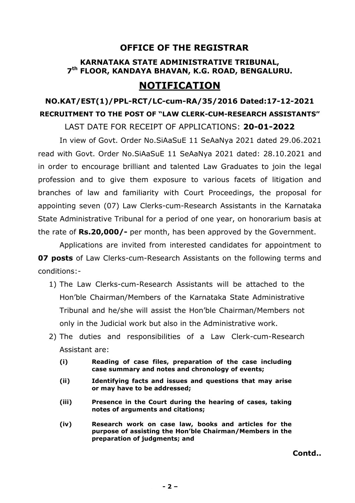## **OFFICE OF THE REGISTRAR**

## **KARNATAKA STATE ADMINISTRATIVE TRIBUNAL, 7 th FLOOR, KANDAYA BHAVAN, K.G. ROAD, BENGALURU.**

## **NOTIFICATION**

# **NO.KAT/EST(1)/PPL-RCT/LC-cum-RA/35/2016 Dated:17-12-2021 RECRUITMENT TO THE POST OF "LAW CLERK-CUM-RESEARCH ASSISTANTS"**

LAST DATE FOR RECEIPT OF APPLICATIONS: **20-01-2022**

 In view of Govt. Order No.SiAaSuE 11 SeAaNya 2021 dated 29.06.2021 read with Govt. Order No.SiAaSuE 11 SeAaNya 2021 dated: 28.10.2021 and in order to encourage brilliant and talented Law Graduates to join the legal profession and to give them exposure to various facets of litigation and branches of law and familiarity with Court Proceedings, the proposal for appointing seven (07) Law Clerks-cum-Research Assistants in the Karnataka State Administrative Tribunal for a period of one year, on honorarium basis at the rate of **Rs.20,000/-** per month, has been approved by the Government.

 Applications are invited from interested candidates for appointment to **07 posts** of Law Clerks-cum-Research Assistants on the following terms and conditions:-

- 1) The Law Clerks-cum-Research Assistants will be attached to the Hon'ble Chairman/Members of the Karnataka State Administrative Tribunal and he/she will assist the Hon'ble Chairman/Members not only in the Judicial work but also in the Administrative work.
- 2) The duties and responsibilities of a Law Clerk-cum-Research Assistant are:
	- **(i) Reading of case files, preparation of the case including case summary and notes and chronology of events;**
	- **(ii) Identifying facts and issues and questions that may arise or may have to be addressed;**
	- **(iii) Presence in the Court during the hearing of cases, taking notes of arguments and citations;**
	- **(iv) Research work on case law, books and articles for the purpose of assisting the Hon'ble Chairman/Members in the preparation of judgments; and**

**Contd..**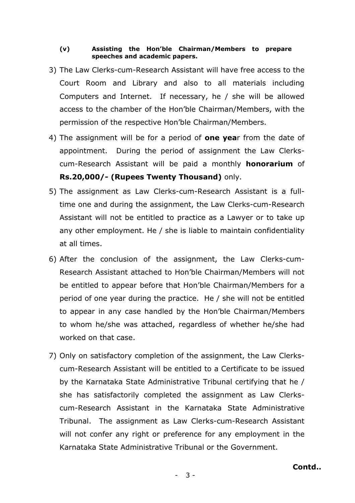#### **(v) Assisting the Hon'ble Chairman/Members to prepare speeches and academic papers.**

- 3) The Law Clerks-cum-Research Assistant will have free access to the Court Room and Library and also to all materials including Computers and Internet. If necessary, he / she will be allowed access to the chamber of the Hon'ble Chairman/Members, with the permission of the respective Hon'ble Chairman/Members.
- 4) The assignment will be for a period of **one yea**r from the date of appointment. During the period of assignment the Law Clerkscum-Research Assistant will be paid a monthly **honorarium** of **Rs.20,000/- (Rupees Twenty Thousand)** only.
- 5) The assignment as Law Clerks-cum-Research Assistant is a fulltime one and during the assignment, the Law Clerks-cum-Research Assistant will not be entitled to practice as a Lawyer or to take up any other employment. He / she is liable to maintain confidentiality at all times.
- 6) After the conclusion of the assignment, the Law Clerks-cum-Research Assistant attached to Hon'ble Chairman/Members will not be entitled to appear before that Hon'ble Chairman/Members for a period of one year during the practice. He / she will not be entitled to appear in any case handled by the Hon'ble Chairman/Members to whom he/she was attached, regardless of whether he/she had worked on that case.
- 7) Only on satisfactory completion of the assignment, the Law Clerkscum-Research Assistant will be entitled to a Certificate to be issued by the Karnataka State Administrative Tribunal certifying that he / she has satisfactorily completed the assignment as Law Clerkscum-Research Assistant in the Karnataka State Administrative Tribunal. The assignment as Law Clerks-cum-Research Assistant will not confer any right or preference for any employment in the Karnataka State Administrative Tribunal or the Government.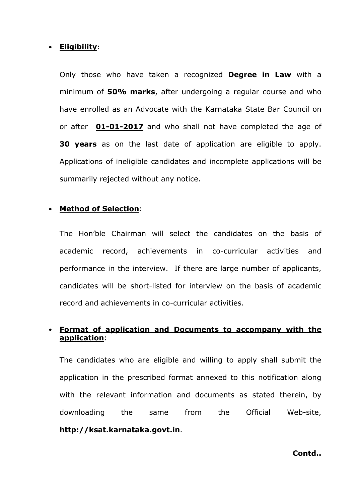#### • **Eligibility**:

Only those who have taken a recognized **Degree in Law** with a minimum of **50% marks**, after undergoing a regular course and who have enrolled as an Advocate with the Karnataka State Bar Council on or after **01-01-2017** and who shall not have completed the age of **30 years** as on the last date of application are eligible to apply. Applications of ineligible candidates and incomplete applications will be summarily rejected without any notice.

#### • **Method of Selection**:

The Hon'ble Chairman will select the candidates on the basis of academic record, achievements in co-curricular activities and performance in the interview. If there are large number of applicants, candidates will be short-listed for interview on the basis of academic record and achievements in co-curricular activities.

## • **Format of application and Documents to accompany with the application**:

The candidates who are eligible and willing to apply shall submit the application in the prescribed format annexed to this notification along with the relevant information and documents as stated therein, by downloading the same from the Official Web-site, **http://ksat.karnataka.govt.in**.

**Contd..**